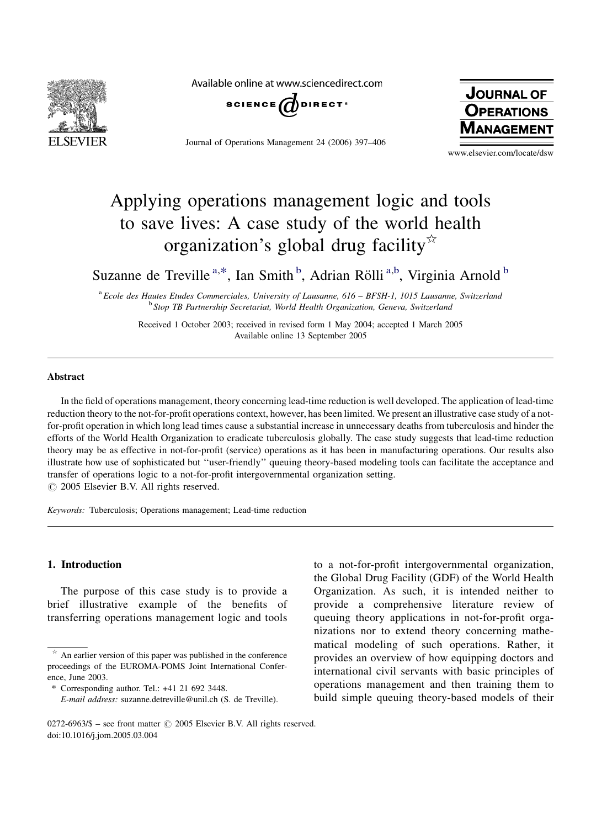

Available online at www.sciencedirect.com



Journal of Operations Management 24 (2006) 397–406



www.elsevier.com/locate/dsw

# Applying operations management logic and tools to save lives: A case study of the world health organization's global drug facility $\overline{a}$

Suzanne de Treville<sup>a,\*</sup>, Ian Smith<sup>b</sup>, Adrian Rölli<sup>a,b</sup>, Virginia Arnold<sup>b</sup>

 $a_{\text{Ecole}}$  des Hautes Etudes Commerciales, University of Lausanne, 616 – BFSH-1, 1015 Lausanne, Switzerland <sup>b</sup> Stop TB Partnership Secretariat, World Health Organization, Geneva, Switzerland

Received 1 October 2003; received in revised form 1 May 2004; accepted 1 March 2005 Available online 13 September 2005

### Abstract

In the field of operations management, theory concerning lead-time reduction is well developed. The application of lead-time reduction theory to the not-for-profit operations context, however, has been limited. We present an illustrative case study of a notfor-profit operation in which long lead times cause a substantial increase in unnecessary deaths from tuberculosis and hinder the efforts of the World Health Organization to eradicate tuberculosis globally. The case study suggests that lead-time reduction theory may be as effective in not-for-profit (service) operations as it has been in manufacturing operations. Our results also illustrate how use of sophisticated but ''user-friendly'' queuing theory-based modeling tools can facilitate the acceptance and transfer of operations logic to a not-for-profit intergovernmental organization setting.  $\circ$  2005 Elsevier B.V. All rights reserved.

Keywords: Tuberculosis; Operations management; Lead-time reduction

### 1. Introduction

The purpose of this case study is to provide a brief illustrative example of the benefits of transferring operations management logic and tools

to a not-for-profit intergovernmental organization, the Global Drug Facility (GDF) of the World Health Organization. As such, it is intended neither to provide a comprehensive literature review of queuing theory applications in not-for-profit organizations nor to extend theory concerning mathematical modeling of such operations. Rather, it provides an overview of how equipping doctors and international civil servants with basic principles of operations management and then training them to build simple queuing theory-based models of their

 $\star$  An earlier version of this paper was published in the conference proceedings of the EUROMA-POMS Joint International Conference, June 2003.

<sup>\*</sup> Corresponding author. Tel.: +41 21 692 3448.

E-mail address: suzanne.detreville@unil.ch (S. de Treville).

<sup>0272-6963/\$ –</sup> see front matter  $\odot$  2005 Elsevier B.V. All rights reserved. doi:10.1016/j.jom.2005.03.004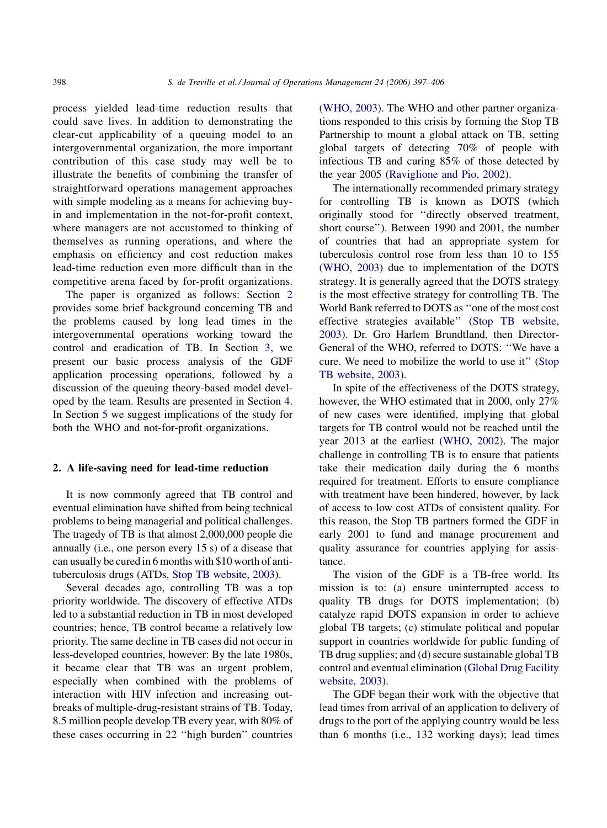process yielded lead-time reduction results that could save lives. In addition to demonstrating the clear-cut applicability of a queuing model to an intergovernmental organization, the more important contribution of this case study may well be to illustrate the benefits of combining the transfer of straightforward operations management approaches with simple modeling as a means for achieving buyin and implementation in the not-for-profit context, where managers are not accustomed to thinking of themselves as running operations, and where the emphasis on efficiency and cost reduction makes lead-time reduction even more difficult than in the competitive arena faced by for-profit organizations.

The paper is organized as follows: Section 2 provides some brief background concerning TB and the problems caused by long lead times in the intergovernmental operations working toward the control and eradication of TB. In Section [3,](#page--1-0) we present our basic process analysis of the GDF application processing operations, followed by a discussion of the queuing theory-based model developed by the team. Results are presented in Section [4](#page--1-0). In Section [5](#page--1-0) we suggest implications of the study for both the WHO and not-for-profit organizations.

#### 2. A life-saving need for lead-time reduction

It is now commonly agreed that TB control and eventual elimination have shifted from being technical problems to being managerial and political challenges. The tragedy of TB is that almost 2,000,000 people die annually (i.e., one person every 15 s) of a disease that can usually be cured in 6 months with \$10 worth of antituberculosis drugs (ATDs, [Stop TB website, 2003\)](#page--1-0).

Several decades ago, controlling TB was a top priority worldwide. The discovery of effective ATDs led to a substantial reduction in TB in most developed countries; hence, TB control became a relatively low priority. The same decline in TB cases did not occur in less-developed countries, however: By the late 1980s, it became clear that TB was an urgent problem, especially when combined with the problems of interaction with HIV infection and increasing outbreaks of multiple-drug-resistant strains of TB. Today, 8.5 million people develop TB every year, with 80% of these cases occurring in 22 ''high burden'' countries ([WHO, 2003\)](#page--1-0). The WHO and other partner organizations responded to this crisis by forming the Stop TB Partnership to mount a global attack on TB, setting global targets of detecting 70% of people with infectious TB and curing 85% of those detected by the year 2005 [\(Raviglione and Pio, 2002](#page--1-0)).

The internationally recommended primary strategy for controlling TB is known as DOTS (which originally stood for ''directly observed treatment, short course''). Between 1990 and 2001, the number of countries that had an appropriate system for tuberculosis control rose from less than 10 to 155 ([WHO, 2003](#page--1-0)) due to implementation of the DOTS strategy. It is generally agreed that the DOTS strategy is the most effective strategy for controlling TB. The World Bank referred to DOTS as ''one of the most cost effective strategies available'' [\(Stop TB website,](#page--1-0) [2003](#page--1-0)). Dr. Gro Harlem Brundtland, then Director-General of the WHO, referred to DOTS: ''We have a cure. We need to mobilize the world to use it'' [\(Stop](#page--1-0) [TB website, 2003\)](#page--1-0).

In spite of the effectiveness of the DOTS strategy, however, the WHO estimated that in 2000, only 27% of new cases were identified, implying that global targets for TB control would not be reached until the year 2013 at the earliest ([WHO, 2002](#page--1-0)). The major challenge in controlling TB is to ensure that patients take their medication daily during the 6 months required for treatment. Efforts to ensure compliance with treatment have been hindered, however, by lack of access to low cost ATDs of consistent quality. For this reason, the Stop TB partners formed the GDF in early 2001 to fund and manage procurement and quality assurance for countries applying for assistance.

The vision of the GDF is a TB-free world. Its mission is to: (a) ensure uninterrupted access to quality TB drugs for DOTS implementation; (b) catalyze rapid DOTS expansion in order to achieve global TB targets; (c) stimulate political and popular support in countries worldwide for public funding of TB drug supplies; and (d) secure sustainable global TB control and eventual elimination ([Global Drug Facility](#page--1-0) [website, 2003\)](#page--1-0).

The GDF began their work with the objective that lead times from arrival of an application to delivery of drugs to the port of the applying country would be less than 6 months (i.e., 132 working days); lead times